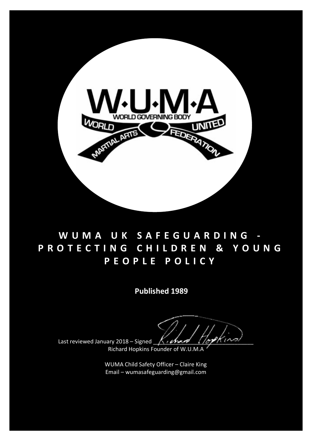

# **WUMA U K SAFEGUARDING - PROTECTING CHILDREN & YOUNG PEOPLE POLICY**

**Published 1989**

Last reviewed January 2018 – Signed  $\bigwedge_{i \in \mathcal{A}}$ 

Richard Hopkins Founder of W.U.M.A

 Email – wumasafeguarding@gmail.comWUMA Child Safety Officer – Claire King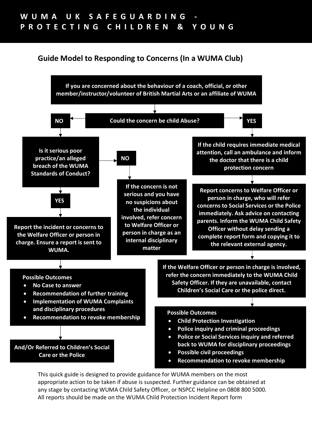### **Guide Model to Responding to Concerns (In a WUMA Club)**



This quick guide is designed to provide guidance for WUMA members on the most appropriate action to be taken if abuse is suspected. Further guidance can be obtained at any stage by contacting WUMA Child Safety Officer, or NSPCC Helpline on 0808 800 5000. All reports should be made on the WUMA Child Protection Incident Report form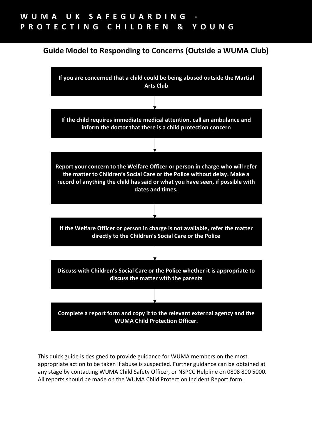### **Guide Model to Responding to Concerns (Outside a WUMA Club)**



This quick guide is designed to provide guidance for WUMA members on the most appropriate action to be taken if abuse is suspected. Further guidance can be obtained at any stage by contacting WUMA Child Safety Officer, or NSPCC Helpline on 0808 800 5000. All reports should be made on the WUMA Child Protection Incident Report form.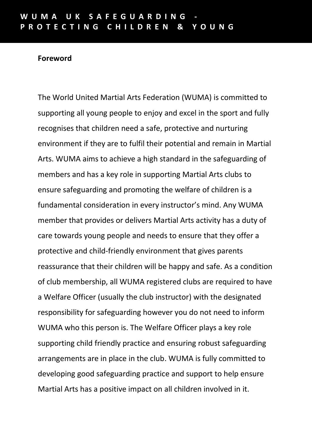### **Foreword**

The World United Martial Arts Federation (WUMA) is committed to supporting all young people to enjoy and excel in the sport and fully recognises that children need a safe, protective and nurturing environment if they are to fulfil their potential and remain in Martial Arts. WUMA aims to achieve a high standard in the safeguarding of members and has a key role in supporting Martial Arts clubs to ensure safeguarding and promoting the welfare of children is a fundamental consideration in every instructor's mind. Any WUMA member that provides or delivers Martial Arts activity has a duty of care towards young people and needs to ensure that they offer a protective and child-friendly environment that gives parents reassurance that their children will be happy and safe. As a condition of club membership, all WUMA registered clubs are required to have a Welfare Officer (usually the club instructor) with the designated responsibility for safeguarding however you do not need to inform WUMA who this person is. The Welfare Officer plays a key role supporting child friendly practice and ensuring robust safeguarding arrangements are in place in the club. WUMA is fully committed to developing good safeguarding practice and support to help ensure Martial Arts has a positive impact on all children involved in it.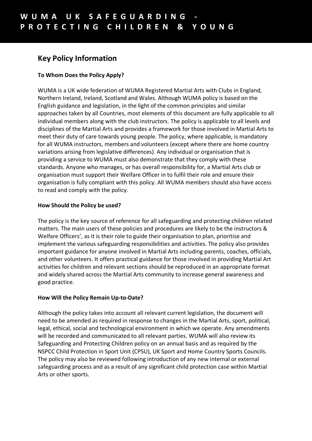## **Key Policy Information**

#### **To Whom Does the Policy Apply?**

WUMA is a UK wide federation of WUMA Registered Martial Arts with Clubs in England, Northern Ireland, Ireland, Scotland and Wales. Although WUMA policy is based on the English guidance and legislation, in the light of the common principles and similar approaches taken by all Countries, most elements of this document are fully applicable to all individual members along with the club instructors. The policy is applicable to all levels and disciplines of the Martial Arts and provides a framework for those involved in Martial Arts to meet their duty of care towards young people. The policy, where applicable, is mandatory for all WUMA instructors, members and volunteers (except where there are home country variations arising from legislative differences). Any individual or organisation that is providing a service to WUMA must also demonstrate that they comply with these standards. Anyone who manages, or has overall responsibility for, a Martial Arts club or organisation must support their Welfare Officer in to fulfil their role and ensure their organisation is fully compliant with this policy. All WUMA members should also have access to read and comply with the policy.

#### **How Should the Policy be used?**

The policy is the key source of reference for all safeguarding and protecting children related matters. The main users of these policies and procedures are likely to be the instructors & Welfare Officers', as it is their role to guide their organisation to plan, prioritise and implement the various safeguarding responsibilities and activities. The policy also provides important guidance for anyone involved in Martial Arts including parents, coaches, officials, and other volunteers. It offers practical guidance for those involved in providing Martial Art activities for children and relevant sections should be reproduced in an appropriate format and widely shared across the Martial Arts community to increase general awareness and good practice.

#### **How Will the Policy Remain Up-to-Date?**

Although the policy takes into account all relevant current legislation, the document will need to be amended as required in response to changes in the Martial Arts, sport, political, legal, ethical, social and technological environment in which we operate. Any amendments will be recorded and communicated to all relevant parties. WUMA will also review its Safeguarding and Protecting Children policy on an annual basis and as required by the NSPCC Child Protection in Sport Unit (CPSU), UK Sport and Home Country Sports Councils. The policy may also be reviewed following introduction of any new internal or external safeguarding process and as a result of any significant child protection case within Martial Arts or other sports.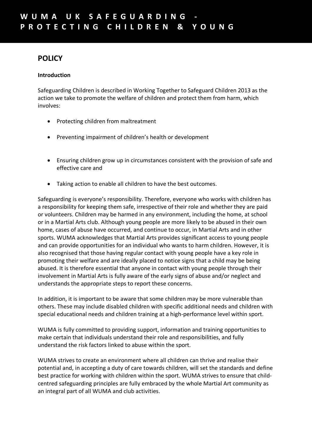### **POLICY**

#### **Introduction**

Safeguarding Children is described in Working Together to Safeguard Children 2013 as the action we take to promote the welfare of children and protect them from harm, which involves:

- Protecting children from maltreatment
- Preventing impairment of children's health or development
- Ensuring children grow up in circumstances consistent with the provision of safe and effective care and
- Taking action to enable all children to have the best outcomes.

Safeguarding is everyone's responsibility. Therefore, everyone who works with children has a responsibility for keeping them safe, irrespective of their role and whether they are paid or volunteers. Children may be harmed in any environment, including the home, at school or in a Martial Arts club. Although young people are more likely to be abused in their own home, cases of abuse have occurred, and continue to occur, in Martial Arts and in other sports. WUMA acknowledges that Martial Arts provides significant access to young people and can provide opportunities for an individual who wants to harm children. However, it is also recognised that those having regular contact with young people have a key role in promoting their welfare and are ideally placed to notice signs that a child may be being abused. It is therefore essential that anyone in contact with young people through their involvement in Martial Arts is fully aware of the early signs of abuse and/or neglect and understands the appropriate steps to report these concerns.

In addition, it is important to be aware that some children may be more vulnerable than others. These may include disabled children with specific additional needs and children with special educational needs and children training at a high-performance level within sport.

WUMA is fully committed to providing support, information and training opportunities to make certain that individuals understand their role and responsibilities, and fully understand the risk factors linked to abuse within the sport.

WUMA strives to create an environment where all children can thrive and realise their potential and, in accepting a duty of care towards children, will set the standards and define best practice for working with children within the sport. WUMA strives to ensure that childcentred safeguarding principles are fully embraced by the whole Martial Art community as an integral part of all WUMA and club activities.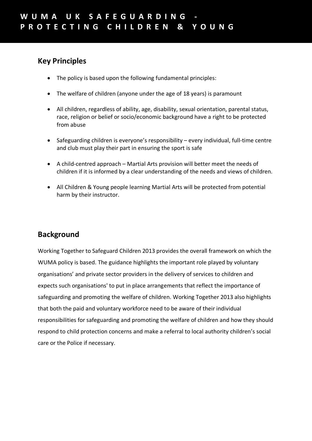### **Key Principles**

- The policy is based upon the following fundamental principles:
- The welfare of children (anyone under the age of 18 years) is paramount
- All children, regardless of ability, age, disability, sexual orientation, parental status, race, religion or belief or socio/economic background have a right to be protected from abuse
- Safeguarding children is everyone's responsibility every individual, full-time centre and club must play their part in ensuring the sport is safe
- A child-centred approach Martial Arts provision will better meet the needs of children if it is informed by a clear understanding of the needs and views of children.
- All Children & Young people learning Martial Arts will be protected from potential harm by their instructor.

### **Background**

Working Together to Safeguard Children 2013 provides the overall framework on which the WUMA policy is based. The guidance highlights the important role played by voluntary organisations' and private sector providers in the delivery of services to children and expects such organisations' to put in place arrangements that reflect the importance of safeguarding and promoting the welfare of children. Working Together 2013 also highlights that both the paid and voluntary workforce need to be aware of their individual responsibilities for safeguarding and promoting the welfare of children and how they should respond to child protection concerns and make a referral to local authority children's social care or the Police if necessary.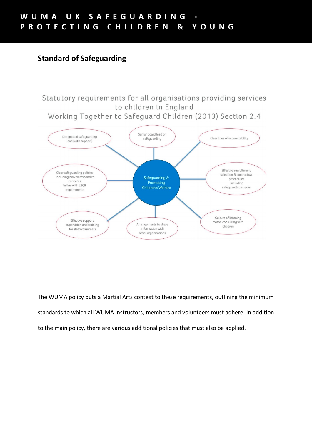### **Standard of Safeguarding**

Statutory requirements for all organisations providing services to children in England Working Together to Safeguard Children (2013) Section 2.4



The WUMA policy puts a Martial Arts context to these requirements, outlining the minimum standards to which all WUMA instructors, members and volunteers must adhere. In addition to the main policy, there are various additional policies that must also be applied.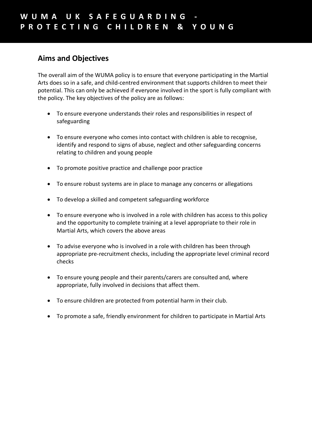### **Aims and Objectives**

The overall aim of the WUMA policy is to ensure that everyone participating in the Martial Arts does so in a safe, and child-centred environment that supports children to meet their potential. This can only be achieved if everyone involved in the sport is fully compliant with the policy. The key objectives of the policy are as follows:

- To ensure everyone understands their roles and responsibilities in respect of safeguarding
- To ensure everyone who comes into contact with children is able to recognise, identify and respond to signs of abuse, neglect and other safeguarding concerns relating to children and young people
- To promote positive practice and challenge poor practice
- To ensure robust systems are in place to manage any concerns or allegations
- To develop a skilled and competent safeguarding workforce
- To ensure everyone who is involved in a role with children has access to this policy and the opportunity to complete training at a level appropriate to their role in Martial Arts, which covers the above areas
- To advise everyone who is involved in a role with children has been through appropriate pre-recruitment checks, including the appropriate level criminal record checks
- To ensure young people and their parents/carers are consulted and, where appropriate, fully involved in decisions that affect them.
- To ensure children are protected from potential harm in their club.
- To promote a safe, friendly environment for children to participate in Martial Arts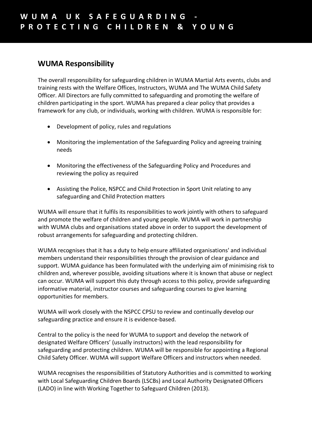### **WUMA Responsibility**

The overall responsibility for safeguarding children in WUMA Martial Arts events, clubs and training rests with the Welfare Offices, Instructors, WUMA and The WUMA Child Safety Officer. All Directors are fully committed to safeguarding and promoting the welfare of children participating in the sport. WUMA has prepared a clear policy that provides a framework for any club, or individuals, working with children. WUMA is responsible for:

- Development of policy, rules and regulations
- Monitoring the implementation of the Safeguarding Policy and agreeing training needs
- Monitoring the effectiveness of the Safeguarding Policy and Procedures and reviewing the policy as required
- Assisting the Police, NSPCC and Child Protection in Sport Unit relating to any safeguarding and Child Protection matters

WUMA will ensure that it fulfils its responsibilities to work jointly with others to safeguard and promote the welfare of children and young people. WUMA will work in partnership with WUMA clubs and organisations stated above in order to support the development of robust arrangements for safeguarding and protecting children.

WUMA recognises that it has a duty to help ensure affiliated organisations' and individual members understand their responsibilities through the provision of clear guidance and support. WUMA guidance has been formulated with the underlying aim of minimising risk to children and, wherever possible, avoiding situations where it is known that abuse or neglect can occur. WUMA will support this duty through access to this policy, provide safeguarding informative material, instructor courses and safeguarding courses to give learning opportunities for members.

WUMA will work closely with the NSPCC CPSU to review and continually develop our safeguarding practice and ensure it is evidence-based.

Central to the policy is the need for WUMA to support and develop the network of designated Welfare Officers' (usually instructors) with the lead responsibility for safeguarding and protecting children. WUMA will be responsible for appointing a Regional Child Safety Officer. WUMA will support Welfare Officers and instructors when needed.

WUMA recognises the responsibilities of Statutory Authorities and is committed to working with Local Safeguarding Children Boards (LSCBs) and Local Authority Designated Officers (LADO) in line with Working Together to Safeguard Children (2013).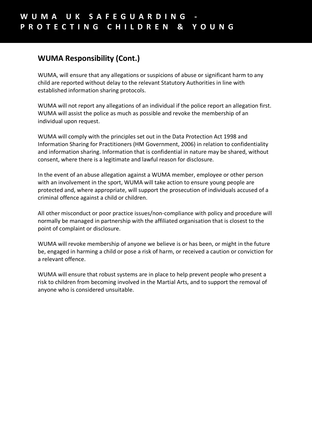### **WUMA Responsibility (Cont.)**

WUMA, will ensure that any allegations or suspicions of abuse or significant harm to any child are reported without delay to the relevant Statutory Authorities in line with established information sharing protocols.

WUMA will not report any allegations of an individual if the police report an allegation first. WUMA will assist the police as much as possible and revoke the membership of an individual upon request.

WUMA will comply with the principles set out in the Data Protection Act 1998 and Information Sharing for Practitioners (HM Government, 2006) in relation to confidentiality and information sharing. Information that is confidential in nature may be shared, without consent, where there is a legitimate and lawful reason for disclosure.

In the event of an abuse allegation against a WUMA member, employee or other person with an involvement in the sport, WUMA will take action to ensure young people are protected and, where appropriate, will support the prosecution of individuals accused of a criminal offence against a child or children.

All other misconduct or poor practice issues/non-compliance with policy and procedure will normally be managed in partnership with the affiliated organisation that is closest to the point of complaint or disclosure.

WUMA will revoke membership of anyone we believe is or has been, or might in the future be, engaged in harming a child or pose a risk of harm, or received a caution or conviction for a relevant offence.

WUMA will ensure that robust systems are in place to help prevent people who present a risk to children from becoming involved in the Martial Arts, and to support the removal of anyone who is considered unsuitable.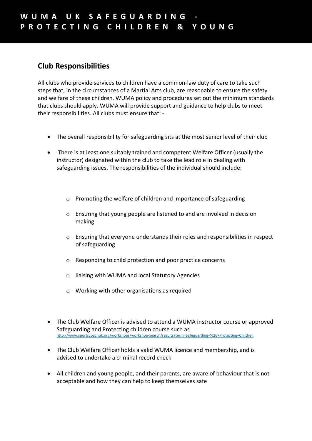### **Club Responsibilities**

All clubs who provide services to children have a common-law duty of care to take such steps that, in the circumstances of a Martial Arts club, are reasonable to ensure the safety and welfare of these children. WUMA policy and procedures set out the minimum standards that clubs should apply. WUMA will provide support and guidance to help clubs to meet their responsibilities. All clubs must ensure that: -

- The overall responsibility for safeguarding sits at the most senior level of their club
- There is at least one suitably trained and competent Welfare Officer (usually the instructor) designated within the club to take the lead role in dealing with safeguarding issues. The responsibilities of the individual should include:
	- o Promoting the welfare of children and importance of safeguarding
	- o Ensuring that young people are listened to and are involved in decision making
	- o Ensuring that everyone understands their roles and responsibilities in respect of safeguarding
	- o Responding to child protection and poor practice concerns
	- o liaising with WUMA and local Statutory Agencies
	- $\circ$  Working with other organisations as required
- The Club Welfare Officer is advised to attend a WUMA instructor course or approved Safeguarding and Protecting children course such as http://www.sportscoachuk.org/workshops/workshop-search/results?term=Safeguarding+%26+Protecting+Children
- The Club Welfare Officer holds a valid WUMA licence and membership, and is advised to undertake a criminal record check
- All children and young people, and their parents, are aware of behaviour that is not acceptable and how they can help to keep themselves safe